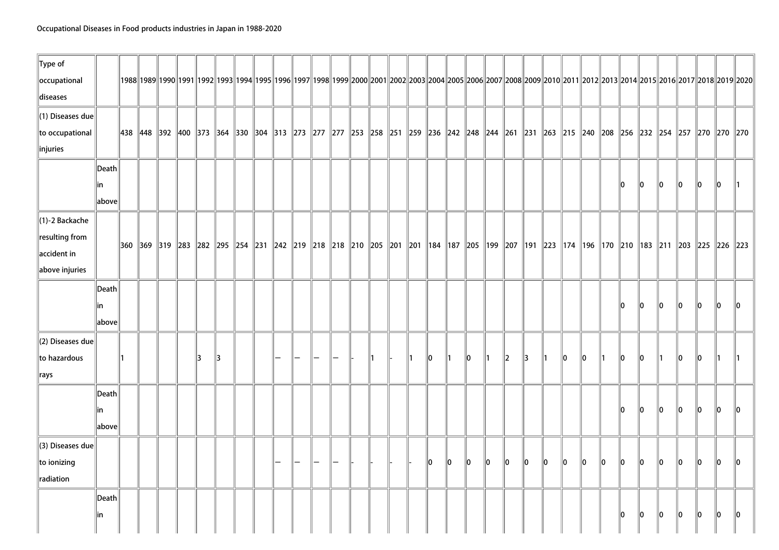| $\ $ Type of<br>occupational<br>diseases                                                  |                                                      |  |  |    |    | 1992  1992  1992  1992  1993  1994  1995  1996  1997  1998  1999  2000  2001  2002  2003  2004  2005  2006  2007  2008  2009  2010  2011  2012  2013  2014  2015  2016  2017  2018  2019                  |  |  |  |  |    |         |         |              |               |         |               |         |         |               |         |         |               |             |               |         |               |
|-------------------------------------------------------------------------------------------|------------------------------------------------------|--|--|----|----|-----------------------------------------------------------------------------------------------------------------------------------------------------------------------------------------------------------|--|--|--|--|----|---------|---------|--------------|---------------|---------|---------------|---------|---------|---------------|---------|---------|---------------|-------------|---------------|---------|---------------|
| (1) Diseases due<br>to occupational<br>$\ $ injuries                                      |                                                      |  |  |    |    | 438   448   392   400   373   364   330   304   313   273   277   277   253   258   251   259   236   242   248   244   261   231   263   215   240   208   256   232   254   257   270   270   270   270 |  |  |  |  |    |         |         |              |               |         |               |         |         |               |         |         |               |             |               |         |               |
|                                                                                           | $\vert$ Death $\vert$<br> in<br>above                |  |  |    |    |                                                                                                                                                                                                           |  |  |  |  |    |         |         |              |               |         |               |         |         |               | 10      | 10      | $\ 0\ $       | $\ 0\ $     | $\ 0\ $       | $\ 0\ $ | $\parallel$ 1 |
| $\parallel$ (1)-2 Backache<br>resulting from<br>$\parallel$ accident in<br>above injuries |                                                      |  |  |    |    | 360  369  319  283  282  295  254  231  242  219  218  218  210  205  201  201  184  187  205  199  207  191  223  174  196  170  210  183  211  203  225  226  223                                       |  |  |  |  |    |         |         |              |               |         |               |         |         |               |         |         |               |             |               |         |               |
|                                                                                           | Death<br>lin<br>$\left\Vert \text{above}\right\Vert$ |  |  |    |    |                                                                                                                                                                                                           |  |  |  |  |    |         |         |              |               |         |               |         |         |               | 10      | 10      | llo.          | llo.        | llo.          | 10      | 10            |
| (2) Diseases due<br>to hazardous<br>$\parallel$ rays                                      |                                                      |  |  | 13 | 13 |                                                                                                                                                                                                           |  |  |  |  | 10 |         | 10      | $\mathsf{I}$ | $\parallel$ 2 | 13      | $\parallel$ 1 | 10      | llo.    | $\parallel$ 1 | llo.    | llo.    | $\parallel$ 1 | llo.        | llo.          | ∥1      | 1             |
|                                                                                           | Death<br>lin<br>above                                |  |  |    |    |                                                                                                                                                                                                           |  |  |  |  |    |         |         |              |               |         |               |         |         |               | 10      | $\ 0\ $ | $\ 0\ $       | $ 0\rangle$ | $\parallel$ 0 | $\ 0\ $ | 10            |
| (3) Diseases due<br>$\ $ to ionizing<br>radiation                                         |                                                      |  |  |    |    |                                                                                                                                                                                                           |  |  |  |  | 10 | $\ 0\ $ | $\ 0\ $ | $ 0\rangle$  | $\ 0\ $       | $\ 0\ $ | $ 0\rangle$   | $\ 0\ $ | $\ 0\ $ | $\ 0\ $       | $\ 0\ $ | $\ 0\ $ | $\ 0\ $       | $\ 0\ $     | $\ 0\ $       | $\ 0\ $ | $\ 0\ $       |
|                                                                                           | Death<br> in                                         |  |  |    |    |                                                                                                                                                                                                           |  |  |  |  |    |         |         |              |               |         |               |         |         |               | 10      | $\ 0\ $ | $\ 0\ $       | $\ 0\ $     | $\ 0\ $       | $\ 0\ $ | $\ 0\ $       |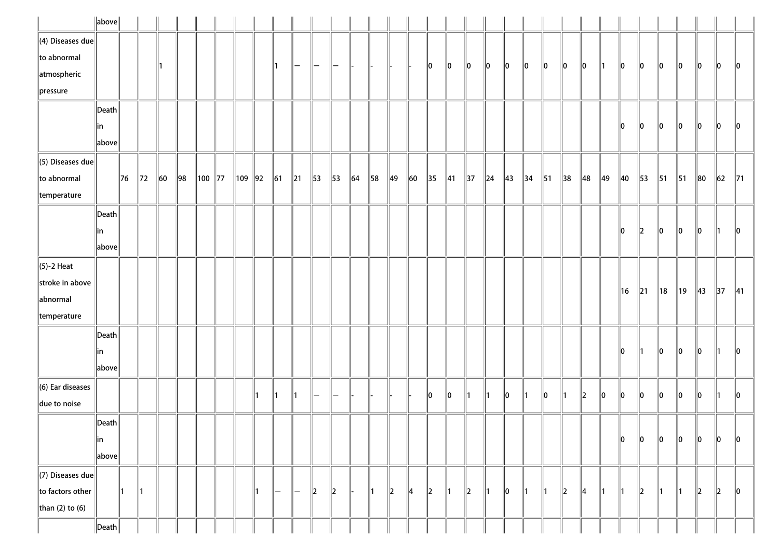|                                          | $\ $ above $\ $       |         |                |          |     |              |          |           |            |                   |                |                |         |                |                |               |                          |                |         |         |                |                |            |    |                |    |                |                |                |                |          |          |                |
|------------------------------------------|-----------------------|---------|----------------|----------|-----|--------------|----------|-----------|------------|-------------------|----------------|----------------|---------|----------------|----------------|---------------|--------------------------|----------------|---------|---------|----------------|----------------|------------|----|----------------|----|----------------|----------------|----------------|----------------|----------|----------|----------------|
| $\parallel$ (4) Diseases due $\parallel$ |                       |         |                |          |     |              |          |           |            |                   |                |                |         |                |                |               |                          |                |         |         |                |                |            |    |                |    |                |                |                |                |          |          |                |
| $\ $ to abnormal                         |                       |         |                |          |     |              |          |           |            | —                 | -              |                |         |                |                |               | 0                        | 10             | 10      | 10      | 10             | 10             | 10         | 10 | 10             | ∥1 | 10             | 10             | 10             | 10             | 10       | 10       | $\ 0\ $        |
| atmospheric                              |                       |         |                |          |     |              |          |           |            |                   |                |                |         |                |                |               |                          |                |         |         |                |                |            |    |                |    |                |                |                |                |          |          |                |
| $\parallel$ pressure                     |                       |         |                |          |     |              |          |           |            |                   |                |                |         |                |                |               |                          |                |         |         |                |                |            |    |                |    |                |                |                |                |          |          |                |
|                                          | Death                 |         |                |          |     |              |          |           |            |                   |                |                |         |                |                |               |                          |                |         |         |                |                |            |    |                |    |                |                |                |                |          |          |                |
|                                          | in                    |         |                |          |     |              |          |           |            |                   |                |                |         |                |                |               |                          |                |         |         |                |                |            |    |                |    | 10             | 10             | 10             | 10             | 10       | 10       | 10             |
|                                          | $\ $ above $\ $       |         |                |          |     |              |          |           |            |                   |                |                |         |                |                |               |                          |                |         |         |                |                |            |    |                |    |                |                |                |                |          |          |                |
| $\parallel$ (5) Diseases due             |                       |         |                |          |     |              |          |           |            |                   |                |                |         |                |                |               |                          |                |         |         |                |                |            |    |                |    |                |                |                |                |          |          |                |
| $\ $ to abnormal                         |                       | $\ $ 76 | $\parallel$ 72 | $\ 60\ $ | ∥98 | $\ 100\ $ 77 | ∥109 ∥92 |           | $\vert$ 61 | $\parallel$ 21    | $\parallel$ 53 | $\parallel$ 53 | $\ $ 64 | $\parallel$ 58 | $\parallel$ 49 | $\ 60\ $      | $\parallel$ 35           | $\parallel$ 41 | 37      | $\ $ 24 | $\parallel$ 43 | $\parallel$ 34 | $\vert$ 51 | 38 | $\parallel$ 48 | 49 | $\parallel$ 40 | $\parallel$ 53 | $\parallel$ 51 | $\parallel$ 51 | $\ 80\ $ | $\ 62\ $ | $\parallel$ 71 |
| temperature                              |                       |         |                |          |     |              |          |           |            |                   |                |                |         |                |                |               |                          |                |         |         |                |                |            |    |                |    |                |                |                |                |          |          |                |
|                                          | Death                 |         |                |          |     |              |          |           |            |                   |                |                |         |                |                |               |                          |                |         |         |                |                |            |    |                |    |                |                |                |                |          |          |                |
|                                          | in                    |         |                |          |     |              |          |           |            |                   |                |                |         |                |                |               |                          |                |         |         |                |                |            |    |                |    | 10             | 12             | 10             | 10             | 10       | 11.      | 10             |
|                                          | above                 |         |                |          |     |              |          |           |            |                   |                |                |         |                |                |               |                          |                |         |         |                |                |            |    |                |    |                |                |                |                |          |          |                |
| $\parallel$ (5)-2 Heat                   |                       |         |                |          |     |              |          |           |            |                   |                |                |         |                |                |               |                          |                |         |         |                |                |            |    |                |    |                |                |                |                |          |          |                |
| stroke in above                          |                       |         |                |          |     |              |          |           |            |                   |                |                |         |                |                |               |                          |                |         |         |                |                |            |    |                |    | ∥16            | $\parallel$ 21 | $\parallel$ 18 | ∥19            | 43       | 37       | $\parallel$ 41 |
| abnormal                                 |                       |         |                |          |     |              |          |           |            |                   |                |                |         |                |                |               |                          |                |         |         |                |                |            |    |                |    |                |                |                |                |          |          |                |
| temperature                              |                       |         |                |          |     |              |          |           |            |                   |                |                |         |                |                |               |                          |                |         |         |                |                |            |    |                |    |                |                |                |                |          |          |                |
|                                          | $\vert$ Death $\vert$ |         |                |          |     |              |          |           |            |                   |                |                |         |                |                |               |                          |                |         |         |                |                |            |    |                |    |                |                |                |                |          |          |                |
|                                          | ∥in                   |         |                |          |     |              |          |           |            |                   |                |                |         |                |                |               |                          |                |         |         |                |                |            |    |                |    | 10             | ∥1             | 10             | 10             | 10       | 11       | 10             |
|                                          | $\ $ above $\ $       |         |                |          |     |              |          |           |            |                   |                |                |         |                |                |               |                          |                |         |         |                |                |            |    |                |    |                |                |                |                |          |          |                |
| $\ $ (6) Ear diseases                    |                       |         |                |          |     |              |          |           |            |                   |                |                |         |                |                |               |                          |                | ∥1      | 11      |                | ∥1             | llo        | ∥1 |                |    | llo            | ∥o             | 10             |                |          | 11.      |                |
| due to noise                             |                       |         |                |          |     |              |          |           |            |                   |                |                |         |                |                |               | 10                       | 10             |         |         | 10             |                |            |    | 2              | 10 |                |                |                | 10             | 10       |          | $\ 0\ $        |
|                                          | $\ $ Death $\ $       |         |                |          |     |              |          |           |            |                   |                |                |         |                |                |               |                          |                |         |         |                |                |            |    |                |    |                |                |                |                |          |          |                |
|                                          | $\ $ in               |         |                |          |     |              |          |           |            |                   |                |                |         |                |                |               |                          |                |         |         |                |                |            |    |                |    | 10             | ∥o             | $\ 0\ $        | 0              | 10       | 10       | 10             |
|                                          | above                 |         |                |          |     |              |          |           |            |                   |                |                |         |                |                |               |                          |                |         |         |                |                |            |    |                |    |                |                |                |                |          |          |                |
| $\parallel$ (7) Diseases due             |                       |         |                |          |     |              |          |           |            |                   |                |                |         |                |                |               |                          |                |         |         |                |                |            |    |                |    |                |                |                |                |          |          |                |
| to factors other                         |                       | ∥1      | $\parallel$ 1  |          |     |              |          | $\vert$ 1 | -          | $\qquad \qquad -$ | $\parallel$ 2  | $\parallel$    |         | 11             | $\parallel$ 2  | $\parallel$ 4 | $\parallel$ <sub>2</sub> | $\parallel$ 1  | $\ 2\ $ | ∥1      | $\ 0\ $        | ∥1             | ∥1         | 12 | 4              | ∥1 | ∥1             | $\ 2\ $        | ∥1             | 11             | 2        | 2        | 10             |
| than (2) to (6)                          |                       |         |                |          |     |              |          |           |            |                   |                |                |         |                |                |               |                          |                |         |         |                |                |            |    |                |    |                |                |                |                |          |          |                |
|                                          | $\ $ Death $\ $       |         |                |          |     |              |          |           |            |                   |                |                |         |                |                |               |                          |                |         |         |                |                |            |    |                |    |                |                |                |                |          |          |                |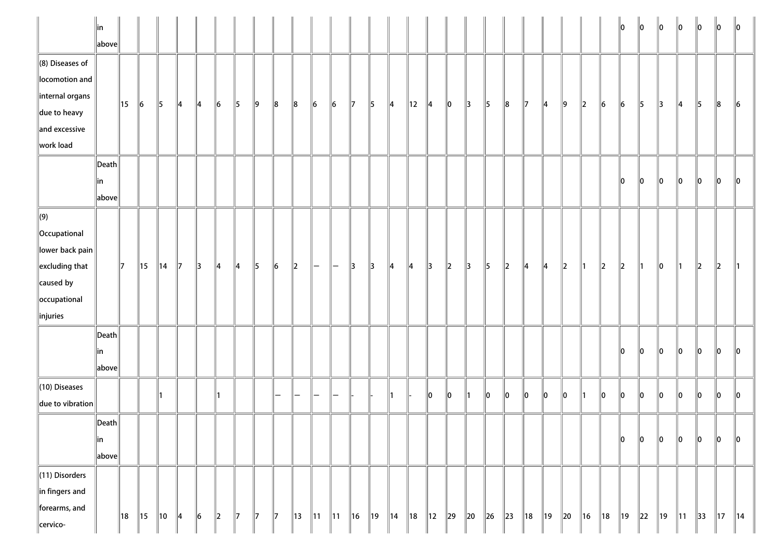|                                                                                                                                          | ∥in<br>$\ $ above $\ $                    |     |                |                |    |               |               |               |              |               |         |                |                |                |     |                |     |                |          |               |               |         |                |                |          |                |         | lo.                      | $\ 0\ $  | $\ 0\ $        | $\ 0\ $        | $\ 0\ $        | $\ 0\ $        | $\parallel$ 0  |
|------------------------------------------------------------------------------------------------------------------------------------------|-------------------------------------------|-----|----------------|----------------|----|---------------|---------------|---------------|--------------|---------------|---------|----------------|----------------|----------------|-----|----------------|-----|----------------|----------|---------------|---------------|---------|----------------|----------------|----------|----------------|---------|--------------------------|----------|----------------|----------------|----------------|----------------|----------------|
| $\ $ (8) Diseases of<br>locomotion and<br>internal organs<br>$\parallel$ due to heavy<br>$\parallel$ and excessive<br>work load          |                                           | 15  | 6              | 5              | ∥4 | 14            | 6             | 5             | ∥9           | $\ 8$         | $\ 8$   | $\ 6$          | $\parallel$ 6  | 17             | 5   | 4              | 12  | 14             | 10       | 3             | 5             | $\ 8$   | 17             | $\parallel$ 4  | 9        | $\ 2\ $        | $\ 6$   | $\ 6$                    | 5        | 3              | 14             | $\parallel$ 5  | $\ 8$          | $\ 6$          |
|                                                                                                                                          | $\ $ Death $\ $<br>∥in<br>$\ $ above $\ $ |     |                |                |    |               |               |               |              |               |         |                |                |                |     |                |     |                |          |               |               |         |                |                |          |                |         | $\ 0\ $                  | $\ 0\ $  | $\ 0\ $        | $\ 0\ $        | $\ 0\ $        | $\ 0\ $        | 10             |
| $\Vert(9)\Vert$<br>Occupational<br>$\ $ lower back pain $\ $<br>$\parallel$ excluding that<br>caused by<br>occupational<br>$\ $ injuries |                                           | 17  | 15             | $\parallel$ 14 | 17 | $\parallel$ 3 | $\parallel$ 4 | $\parallel$ 4 | 5            | $\ 6$         | $\ 2\ $ | $\overline{}$  |                | 13             | 13  | $\parallel$ 4  | 14  | $\parallel$ 3  | $\ 2\ $  | $\parallel$ 3 | $\parallel$ 5 | $\ 2\ $ | 14             | $\parallel$ 4  | $\ 2\ $  | ∥1             | $\ 2\ $ | $\parallel$ <sub>2</sub> | ∥1       | 10             | ∥1             | $\parallel$ 2  | $\parallel$ 2  |                |
|                                                                                                                                          | $\ $ Death $\ $<br>∥in<br>$\ $ above $\ $ |     |                |                |    |               |               |               |              |               |         |                |                |                |     |                |     |                |          |               |               |         |                |                |          |                |         | 10                       | llo.     | lo.            | llo            | llo.           | llo.           | 10             |
| $(10)$ Diseases<br>due to vibration                                                                                                      |                                           |     |                |                |    |               |               |               |              |               |         |                |                |                |     | 11             |     | 10             | 10       | 1             | 10            | 0       | 0              | $\ _0$         | 0        | $\parallel$ 1  | 0       | $\ _0$                   | $\ _0$   | $\ _0$         | $\ _0$         | $\ _0$         | $\ _0$         | llo            |
|                                                                                                                                          | $\ $ Death $\ $<br> in<br>$\ $ above $\ $ |     |                |                |    |               |               |               |              |               |         |                |                |                |     |                |     |                |          |               |               |         |                |                |          |                |         | $\ 0\ $                  | $\ 0\ $  | $\ _0$         | $\ _0$         | $\ _0$         | $\ _0$         | $\ 0\ $        |
| (11) Disorders<br>$\ $ in fingers and<br>forearms, and<br>cervico-                                                                       |                                           | ∥18 | $\parallel$ 15 | 10             | ∥4 | $\ 6$         | $\ 2\ $       | $\parallel$ 7 | $\mathbb{I}$ | $\parallel$ 7 | ∥13     | $\parallel$ 11 | $\parallel$ 11 | $\parallel$ 16 | ∥19 | $\parallel$ 14 | ∥18 | $\parallel$ 12 | $\ 29\ $ | $\ 20\ $      | $\ $ 26       | $\ $ 23 | $\parallel$ 18 | $\parallel$ 19 | $\ 20\ $ | $\parallel$ 16 | ∥18     | $\parallel$ 19           | $\ 22\ $ | $\parallel$ 19 | $\parallel$ 11 | $\parallel$ 33 | $\parallel$ 17 | $\parallel$ 14 |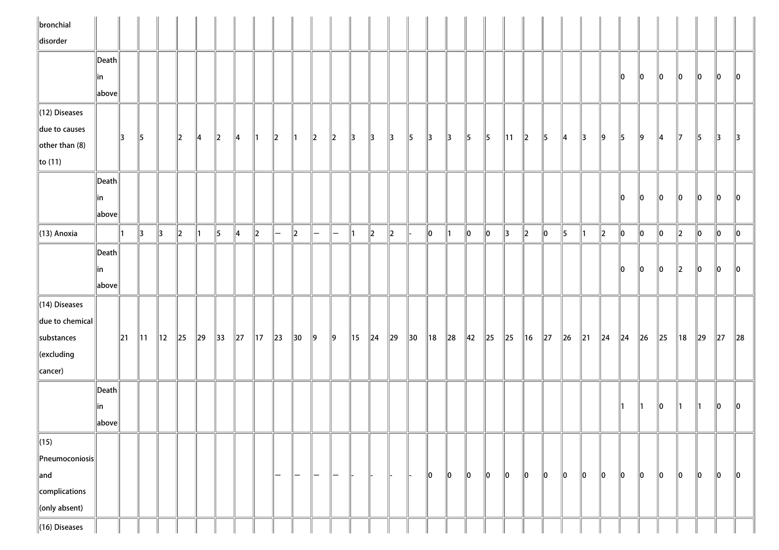| $\parallel$ bronchial               |                       |          |                |                |               |               |                |               |                |                          |                   |               |               |                |               |               |                |                |               |                |               |                |                |               |               |               |               |         |         |          |         |          |               |               |
|-------------------------------------|-----------------------|----------|----------------|----------------|---------------|---------------|----------------|---------------|----------------|--------------------------|-------------------|---------------|---------------|----------------|---------------|---------------|----------------|----------------|---------------|----------------|---------------|----------------|----------------|---------------|---------------|---------------|---------------|---------|---------|----------|---------|----------|---------------|---------------|
| disorder                            |                       |          |                |                |               |               |                |               |                |                          |                   |               |               |                |               |               |                |                |               |                |               |                |                |               |               |               |               |         |         |          |         |          |               |               |
|                                     | Death                 |          |                |                |               |               |                |               |                |                          |                   |               |               |                |               |               |                |                |               |                |               |                |                |               |               |               |               |         |         |          |         |          |               |               |
|                                     | in                    |          |                |                |               |               |                |               |                |                          |                   |               |               |                |               |               |                |                |               |                |               |                |                |               |               |               |               | 10      | 10      | 10       | 10      | 10       | $\parallel$ 0 | $\parallel 0$ |
|                                     | above                 |          |                |                |               |               |                |               |                |                          |                   |               |               |                |               |               |                |                |               |                |               |                |                |               |               |               |               |         |         |          |         |          |               |               |
| (12) Diseases                       |                       |          |                |                |               |               |                |               |                |                          |                   |               |               |                |               |               |                |                |               |                |               |                |                |               |               |               |               |         |         |          |         |          |               |               |
| due to causes                       |                       | 13       | $\parallel$ 5  |                | $\parallel$ 2 | $\parallel$ 4 | $\ 2\ $        | $\parallel 4$ | $\parallel$ 1  | $\parallel$ <sub>2</sub> | $\parallel$ 1     | $\vert$ 2     | $\ 2\ $       | $\parallel$ 3  | $\parallel$ 3 | $\parallel$ 3 | $\parallel$ 5  | $\parallel$ 3  | $\parallel$ 3 | $\vert$ 5      | $\parallel$ 5 | $\parallel$ 11 | $\ 2\ $        | $\parallel$ 5 | $\parallel$ 4 | $\parallel$ 3 | $\parallel$ 9 | 5       | ∥9      | 14       | 17      | 5        | $\parallel$ 3 | $\parallel$ 3 |
| $\left\Vert$ other than (8)         |                       |          |                |                |               |               |                |               |                |                          |                   |               |               |                |               |               |                |                |               |                |               |                |                |               |               |               |               |         |         |          |         |          |               |               |
| $\ $ to (11)                        |                       |          |                |                |               |               |                |               |                |                          |                   |               |               |                |               |               |                |                |               |                |               |                |                |               |               |               |               |         |         |          |         |          |               |               |
|                                     | $\vert$ Death $\vert$ |          |                |                |               |               |                |               |                |                          |                   |               |               |                |               |               |                |                |               |                |               |                |                |               |               |               |               |         |         |          |         |          |               |               |
|                                     | in                    |          |                |                |               |               |                |               |                |                          |                   |               |               |                |               |               |                |                |               |                |               |                |                |               |               |               |               | 10      | 10      | 10       | 10      | 10       | 10            | 10            |
|                                     | $\ $ above $\ $       |          |                |                |               |               |                |               |                |                          |                   |               |               |                |               |               |                |                |               |                |               |                |                |               |               |               |               |         |         |          |         |          |               |               |
| $\parallel$ (13) Anoxia             |                       | ∥1       | $\parallel$ 3  | $\parallel$ 3  | $\ 2\ $       | 11            | 5              | 4             | $\ 2\ $        | $\overline{\phantom{a}}$ | $\ 2\ $           | $\overline{}$ | $\overline{}$ | 11             | $\ 2\ $       | $\ 2\ $       |                | $\ 0\ $        | ∥1            | $\ 0\ $        | $\ 0\ $       | $\parallel$ 3  | $\ 2\ $        | $ 0\rangle$   | $\parallel$ 5 | 11            | $\parallel$ 2 | $\ 0\ $ | 10      | $\ 0\ $  | $\ 2\ $ | $\ 0\ $  | $\ 0\ $       | $\ 0\ $       |
|                                     | Death                 |          |                |                |               |               |                |               |                |                          |                   |               |               |                |               |               |                |                |               |                |               |                |                |               |               |               |               |         |         |          |         |          |               |               |
|                                     | in                    |          |                |                |               |               |                |               |                |                          |                   |               |               |                |               |               |                |                |               |                |               |                |                |               |               |               |               | llo.    | 10      | 10       | 12      | 10       | llo           | 10            |
|                                     | $\ $ above $\ $       |          |                |                |               |               |                |               |                |                          |                   |               |               |                |               |               |                |                |               |                |               |                |                |               |               |               |               |         |         |          |         |          |               |               |
| $\ $ (14) Diseases                  |                       |          |                |                |               |               |                |               |                |                          |                   |               |               |                |               |               |                |                |               |                |               |                |                |               |               |               |               |         |         |          |         |          |               |               |
| due to chemical                     |                       |          |                |                |               |               |                |               |                |                          |                   |               |               |                |               |               |                |                |               |                |               |                |                |               |               |               |               |         |         |          |         |          |               |               |
| substances                          |                       | $\ 21\ $ | $\parallel$ 11 | $\parallel$ 12 | $\ 25\ $      | $\ 29\ $      | $\parallel$ 33 | $\ 27\ $      | $\parallel$ 17 | $\ 23\ $                 | $\parallel$ 30    | $\vert$ 9     | $\ 9\ $       | $\parallel$ 15 | $\ $ 24       | $\ 29\ $      | $\parallel$ 30 | $\parallel$ 18 | $\ 28$        | $\parallel$ 42 | $\ 25$        | $\ 25$         | $\parallel$ 16 | $\ 27\ $      | $\ $ 26       | $\ 21$        | $\ $ 24       | $\ $ 24 | $\ $ 26 | $\ 25\ $ | 18      | $\ 29\ $ | $\ 27$        | $\ 28$        |
| $\ $ (excluding                     |                       |          |                |                |               |               |                |               |                |                          |                   |               |               |                |               |               |                |                |               |                |               |                |                |               |               |               |               |         |         |          |         |          |               |               |
| $\ $ cancer)                        |                       |          |                |                |               |               |                |               |                |                          |                   |               |               |                |               |               |                |                |               |                |               |                |                |               |               |               |               |         |         |          |         |          |               |               |
|                                     | $\ $ Death            |          |                |                |               |               |                |               |                |                          |                   |               |               |                |               |               |                |                |               |                |               |                |                |               |               |               |               |         |         |          |         |          |               |               |
|                                     | in                    |          |                |                |               |               |                |               |                |                          |                   |               |               |                |               |               |                |                |               |                |               |                |                |               |               |               |               | 11.     | ∥1      | 10       | 11      | 11       | 10            | 10            |
|                                     | above                 |          |                |                |               |               |                |               |                |                          |                   |               |               |                |               |               |                |                |               |                |               |                |                |               |               |               |               |         |         |          |         |          |               |               |
| $\ $ (15)                           |                       |          |                |                |               |               |                |               |                |                          |                   |               |               |                |               |               |                |                |               |                |               |                |                |               |               |               |               |         |         |          |         |          |               |               |
| $\left\ $ Pneumoconiosis $\right\ $ |                       |          |                |                |               |               |                |               |                |                          |                   |               |               |                |               |               |                |                |               |                |               |                |                |               |               |               |               |         |         |          |         |          |               |               |
| $\parallel$ and                     |                       |          |                |                |               |               |                |               |                | $\qquad \qquad -$        | $\qquad \qquad -$ | $-$           |               |                |               |               |                | $\ 0\ $        | $\ 0\ $       | $\ 0\ $        | $\ 0\ $       | $\ 0\ $        | $\ 0\ $        | $ 0\rangle$   | $\ 0\ $       | $\ 0\ $       | $\ 0\ $       | 10      | 10      | 10       | 10      | 10       | 10            | $\ 0\ $       |
| complications                       |                       |          |                |                |               |               |                |               |                |                          |                   |               |               |                |               |               |                |                |               |                |               |                |                |               |               |               |               |         |         |          |         |          |               |               |
| (only absent)                       |                       |          |                |                |               |               |                |               |                |                          |                   |               |               |                |               |               |                |                |               |                |               |                |                |               |               |               |               |         |         |          |         |          |               |               |
| $\ $ (16) Diseases                  |                       |          |                |                |               |               |                |               |                |                          |                   |               |               |                |               |               |                |                |               |                |               |                |                |               |               |               |               |         |         |          |         |          |               |               |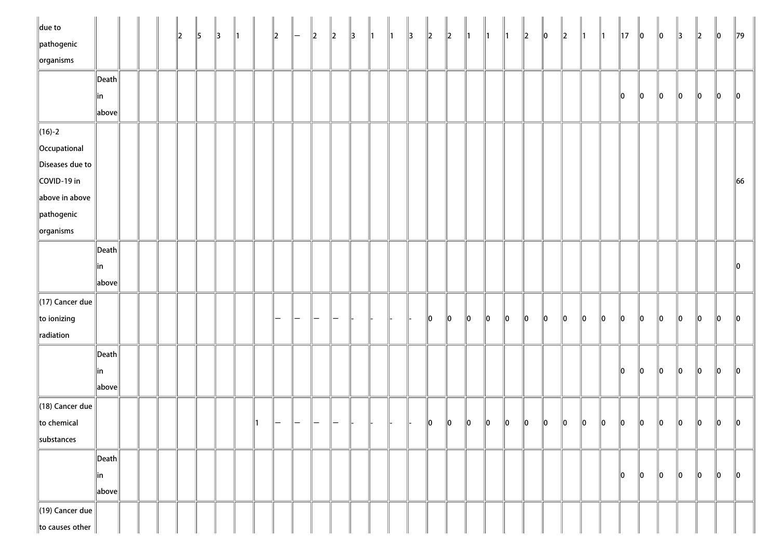| $\parallel$ due to          |                 |  | $ 2\rangle$ | 5 | $\parallel$ 3 | $\parallel$ 1 | $\parallel$ 2 | $\left  - \right $ | $\vert$ 2 | $\parallel$ <sub>2</sub> | $\parallel$ 3 | $\parallel$ 1 | $\parallel$ 1 | $\parallel$ 3 | $\ 2\ $       | $\ 2\ $     | $\parallel$ 1 | $\parallel$ 1 | $\parallel$ 1 | $\ 2\ $ | $\ 0\ $ | $\ 2\ $ | $\parallel$ 1 | $\parallel$ 1 | $\parallel$ 17 | $\ 0\ $       | $\ 0\ $       | $\parallel$ 3 | $\ 2\ $ | $\ 0\ $ | $\parallel$ 79 |
|-----------------------------|-----------------|--|-------------|---|---------------|---------------|---------------|--------------------|-----------|--------------------------|---------------|---------------|---------------|---------------|---------------|-------------|---------------|---------------|---------------|---------|---------|---------|---------------|---------------|----------------|---------------|---------------|---------------|---------|---------|----------------|
| pathogenic                  |                 |  |             |   |               |               |               |                    |           |                          |               |               |               |               |               |             |               |               |               |         |         |         |               |               |                |               |               |               |         |         |                |
| $\left\Vert$ organisms      |                 |  |             |   |               |               |               |                    |           |                          |               |               |               |               |               |             |               |               |               |         |         |         |               |               |                |               |               |               |         |         |                |
|                             | Death           |  |             |   |               |               |               |                    |           |                          |               |               |               |               |               |             |               |               |               |         |         |         |               |               |                |               |               |               |         |         |                |
|                             | in              |  |             |   |               |               |               |                    |           |                          |               |               |               |               |               |             |               |               |               |         |         |         |               |               | 10             | $\ 0\ $       | $\ 0\ $       | 10            | $\ 0\ $ | 10      | $\parallel$ 0  |
|                             | above           |  |             |   |               |               |               |                    |           |                          |               |               |               |               |               |             |               |               |               |         |         |         |               |               |                |               |               |               |         |         |                |
| $\ $ (16)-2                 |                 |  |             |   |               |               |               |                    |           |                          |               |               |               |               |               |             |               |               |               |         |         |         |               |               |                |               |               |               |         |         |                |
| Occupational                |                 |  |             |   |               |               |               |                    |           |                          |               |               |               |               |               |             |               |               |               |         |         |         |               |               |                |               |               |               |         |         |                |
| Diseases due to             |                 |  |             |   |               |               |               |                    |           |                          |               |               |               |               |               |             |               |               |               |         |         |         |               |               |                |               |               |               |         |         |                |
| COVID-19 in                 |                 |  |             |   |               |               |               |                    |           |                          |               |               |               |               |               |             |               |               |               |         |         |         |               |               |                |               |               |               |         |         | 66             |
| above in above              |                 |  |             |   |               |               |               |                    |           |                          |               |               |               |               |               |             |               |               |               |         |         |         |               |               |                |               |               |               |         |         |                |
| pathogenic                  |                 |  |             |   |               |               |               |                    |           |                          |               |               |               |               |               |             |               |               |               |         |         |         |               |               |                |               |               |               |         |         |                |
| $\left\Vert$ organisms      |                 |  |             |   |               |               |               |                    |           |                          |               |               |               |               |               |             |               |               |               |         |         |         |               |               |                |               |               |               |         |         |                |
|                             | $\ $ Death $\ $ |  |             |   |               |               |               |                    |           |                          |               |               |               |               |               |             |               |               |               |         |         |         |               |               |                |               |               |               |         |         |                |
|                             | in              |  |             |   |               |               |               |                    |           |                          |               |               |               |               |               |             |               |               |               |         |         |         |               |               |                |               |               |               |         |         | 10             |
|                             | $\ $ above $\ $ |  |             |   |               |               |               |                    |           |                          |               |               |               |               |               |             |               |               |               |         |         |         |               |               |                |               |               |               |         |         |                |
| $\parallel$ (17) Cancer due |                 |  |             |   |               |               |               |                    |           |                          |               |               |               |               |               |             |               |               |               |         |         |         |               |               |                |               |               |               |         |         |                |
| $\ $ to ionizing            |                 |  |             |   |               |               |               |                    |           |                          |               |               |               |               | $\parallel$ 0 | $\ 0\ $     | $\ 0\ $       | $\ 0\ $       | $\ 0\ $       | $\ 0\ $ | 0       | $\ 0\ $ | 10            | $\ 0\ $       | $\ 0\ $        | $\ 0\ $       | $\ 0\ $       | $\ 0\ $       | $\ 0\ $ | 10      | 10             |
| radiation                   |                 |  |             |   |               |               |               |                    |           |                          |               |               |               |               |               |             |               |               |               |         |         |         |               |               |                |               |               |               |         |         |                |
|                             | Death           |  |             |   |               |               |               |                    |           |                          |               |               |               |               |               |             |               |               |               |         |         |         |               |               |                |               |               |               |         |         |                |
|                             | in              |  |             |   |               |               |               |                    |           |                          |               |               |               |               |               |             |               |               |               |         |         |         |               |               | 10             | $\ 0\ $       | $\ 0\ $       | 10            | $\ 0\ $ | $\ 0\ $ | 10             |
|                             | $\ $ above $\ $ |  |             |   |               |               |               |                    |           |                          |               |               |               |               |               |             |               |               |               |         |         |         |               |               |                |               |               |               |         |         |                |
| $\parallel$ (18) Cancer due |                 |  |             |   |               |               |               |                    |           |                          |               |               |               |               |               |             |               |               |               |         |         |         |               |               |                |               |               |               |         |         |                |
| to chemical                 |                 |  |             |   |               |               |               |                    |           |                          |               |               |               |               | 10            | $ 0\rangle$ | $\ 0\ $       | $\ 0\ $       | $\ 0\ $       | $\ 0\ $ | $\ 0\ $ | $\ 0\ $ | $\ 0\ $       | $\ 0\ $       | $\ 0\ $        | $\ 0\ $       | $\ 0\ $       | $\ 0\ $       | $\ 0\ $ | 10      | $\parallel 0$  |
| $\parallel$ substances      |                 |  |             |   |               |               |               |                    |           |                          |               |               |               |               |               |             |               |               |               |         |         |         |               |               |                |               |               |               |         |         |                |
|                             | Death           |  |             |   |               |               |               |                    |           |                          |               |               |               |               |               |             |               |               |               |         |         |         |               |               |                |               |               |               |         |         |                |
|                             | in              |  |             |   |               |               |               |                    |           |                          |               |               |               |               |               |             |               |               |               |         |         |         |               |               | 10             | $\parallel$ 0 | $\parallel$ 0 | 10            | 10      | 10      | $\ 0\ $        |
|                             | above           |  |             |   |               |               |               |                    |           |                          |               |               |               |               |               |             |               |               |               |         |         |         |               |               |                |               |               |               |         |         |                |
| $\ $ (19) Cancer due        |                 |  |             |   |               |               |               |                    |           |                          |               |               |               |               |               |             |               |               |               |         |         |         |               |               |                |               |               |               |         |         |                |
| to causes other             |                 |  |             |   |               |               |               |                    |           |                          |               |               |               |               |               |             |               |               |               |         |         |         |               |               |                |               |               |               |         |         |                |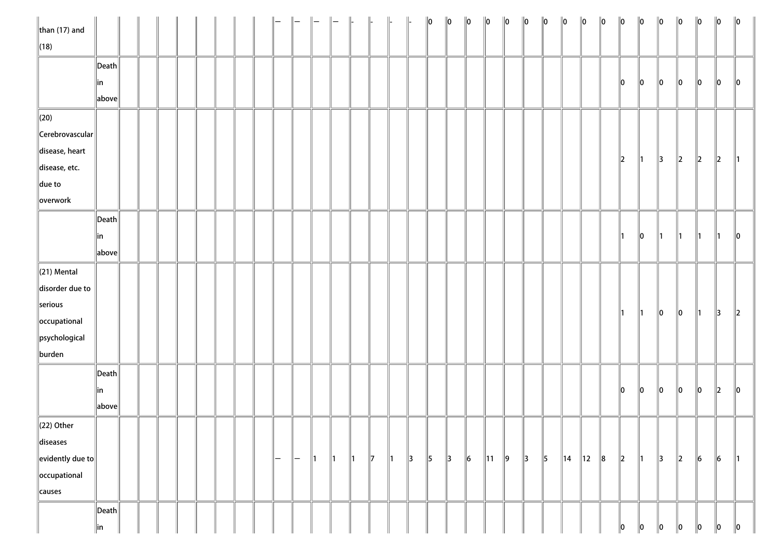| $\ $ than (17) and         |                       |  |  |  |  |     |     |               |               | $\parallel$   | $\parallel$   |               |               | $\ 0\ $       | $\ 0\ $       | $\ 0\ $   | $\ 0\ $    | $\ 0\ $ | $\ 0\ $       | $\ 0\ $   | $\ 0\ $        | $\ 0\ $        | $\ 0\ $ | $\ 0\ $       | $\ 0\ $       | $\ 0\ $       | $\ 0\ $       | $\ 0\ $       | $\ 0\ $       | $\ 0\ $       |
|----------------------------|-----------------------|--|--|--|--|-----|-----|---------------|---------------|---------------|---------------|---------------|---------------|---------------|---------------|-----------|------------|---------|---------------|-----------|----------------|----------------|---------|---------------|---------------|---------------|---------------|---------------|---------------|---------------|
| $\ $ (18)                  |                       |  |  |  |  |     |     |               |               |               |               |               |               |               |               |           |            |         |               |           |                |                |         |               |               |               |               |               |               |               |
|                            | $\ $ Death $\ $       |  |  |  |  |     |     |               |               |               |               |               |               |               |               |           |            |         |               |           |                |                |         |               |               |               |               |               |               |               |
|                            | ∥in                   |  |  |  |  |     |     |               |               |               |               |               |               |               |               |           |            |         |               |           |                |                |         | 10            | $\ 0\ $       | $\ 0\ $       | 10            | 10            | 10            | $\parallel$ 0 |
|                            | above                 |  |  |  |  |     |     |               |               |               |               |               |               |               |               |           |            |         |               |           |                |                |         |               |               |               |               |               |               |               |
| $\ $ (20)                  |                       |  |  |  |  |     |     |               |               |               |               |               |               |               |               |           |            |         |               |           |                |                |         |               |               |               |               |               |               |               |
| $\ $ Cerebrovascular $\ $  |                       |  |  |  |  |     |     |               |               |               |               |               |               |               |               |           |            |         |               |           |                |                |         |               |               |               |               |               |               |               |
| disease, heart             |                       |  |  |  |  |     |     |               |               |               |               |               |               |               |               |           |            |         |               |           |                |                |         |               |               |               |               |               |               |               |
| disease, etc.              |                       |  |  |  |  |     |     |               |               |               |               |               |               |               |               |           |            |         |               |           |                |                |         | $\ 2\ $       | ∥1            | $\parallel$ 3 | $\parallel$ 2 | $\ 2\ $       | $\parallel$ 2 |               |
| $\ $ due to                |                       |  |  |  |  |     |     |               |               |               |               |               |               |               |               |           |            |         |               |           |                |                |         |               |               |               |               |               |               |               |
| overwork                   |                       |  |  |  |  |     |     |               |               |               |               |               |               |               |               |           |            |         |               |           |                |                |         |               |               |               |               |               |               |               |
|                            | $\vert$ Death $\vert$ |  |  |  |  |     |     |               |               |               |               |               |               |               |               |           |            |         |               |           |                |                |         |               |               |               |               |               |               |               |
|                            | in                    |  |  |  |  |     |     |               |               |               |               |               |               |               |               |           |            |         |               |           |                |                |         | $\parallel$ 1 | 10            | $\parallel$ 1 | $\parallel$ 1 | $\parallel$ 1 | ∥1            | $\ 0\ $       |
|                            | above                 |  |  |  |  |     |     |               |               |               |               |               |               |               |               |           |            |         |               |           |                |                |         |               |               |               |               |               |               |               |
| $\ $ (21) Mental           |                       |  |  |  |  |     |     |               |               |               |               |               |               |               |               |           |            |         |               |           |                |                |         |               |               |               |               |               |               |               |
| disorder due to            |                       |  |  |  |  |     |     |               |               |               |               |               |               |               |               |           |            |         |               |           |                |                |         |               |               |               |               |               |               |               |
| serious                    |                       |  |  |  |  |     |     |               |               |               |               |               |               |               |               |           |            |         |               |           |                |                |         |               |               |               |               |               |               |               |
| occupational               |                       |  |  |  |  |     |     |               |               |               |               |               |               |               |               |           |            |         |               |           |                |                |         | $\parallel$ 1 | $\parallel$ 1 | $\ 0\ $       | $\ 0\ $       | $\parallel$ 1 | $\parallel$ 3 | $\ 2\ $       |
| psychological              |                       |  |  |  |  |     |     |               |               |               |               |               |               |               |               |           |            |         |               |           |                |                |         |               |               |               |               |               |               |               |
| burden                     |                       |  |  |  |  |     |     |               |               |               |               |               |               |               |               |           |            |         |               |           |                |                |         |               |               |               |               |               |               |               |
|                            | $\ $ Death $\ $       |  |  |  |  |     |     |               |               |               |               |               |               |               |               |           |            |         |               |           |                |                |         |               |               |               |               |               |               |               |
|                            | in                    |  |  |  |  |     |     |               |               |               |               |               |               |               |               |           |            |         |               |           |                |                |         | $\parallel$ 0 | $\ 0\ $       | $ 0\rangle$   | $\ 0\ $       | $\ 0\ $       | $\vert$ 2     | $\ 0\ $       |
|                            | above                 |  |  |  |  |     |     |               |               |               |               |               |               |               |               |           |            |         |               |           |                |                |         |               |               |               |               |               |               |               |
| $\ $ (22) Other            |                       |  |  |  |  |     |     |               |               |               |               |               |               |               |               |           |            |         |               |           |                |                |         |               |               |               |               |               |               |               |
| diseases                   |                       |  |  |  |  |     |     |               |               |               |               |               |               |               |               |           |            |         |               |           |                |                |         |               |               |               |               |               |               |               |
| $\ $ evidently due to $\ $ |                       |  |  |  |  | ı — | $-$ | $\parallel$ 1 | $\parallel$ 1 | $\parallel$ 1 | $\parallel$ 7 | $\parallel$ 1 | $\parallel$ 3 | $\parallel$ 5 | $\parallel$ 3 | $\vert$ 6 | $\ 11\ $ 9 |         | $\parallel$ 3 | $\vert$ 5 | $\parallel$ 14 | $\parallel$ 12 | $\ 8$   | $\ 2\ $       | $\parallel$ 1 | $\parallel$ 3 | $\parallel$ 2 | $\ 6\ $       | $\vert$ 6     | ∥1            |
| occupational               |                       |  |  |  |  |     |     |               |               |               |               |               |               |               |               |           |            |         |               |           |                |                |         |               |               |               |               |               |               |               |
| causes                     |                       |  |  |  |  |     |     |               |               |               |               |               |               |               |               |           |            |         |               |           |                |                |         |               |               |               |               |               |               |               |
|                            | $\ $ Death $\ $       |  |  |  |  |     |     |               |               |               |               |               |               |               |               |           |            |         |               |           |                |                |         |               |               |               |               |               |               |               |
|                            | in                    |  |  |  |  |     |     |               |               |               |               |               |               |               |               |           |            |         |               |           |                |                |         | 10            | 10            | 10            | 10            | 10            | 10            | $\ 0\ $       |